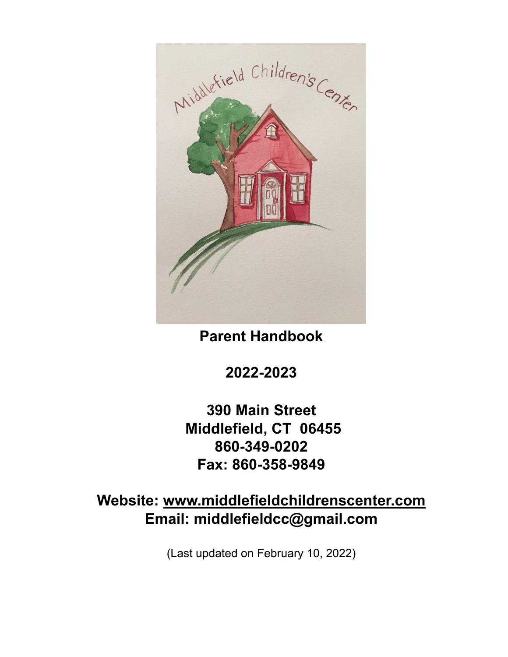

**Parent Handbook**

**2022-2023**

**390 Main Street Middlefield, CT 06455 860-349-0202 Fax: 860-358-9849**

**Website: www.middlefieldchildrenscenter.com Email: middlefieldcc@gmail.com**

(Last updated on February 10, 2022)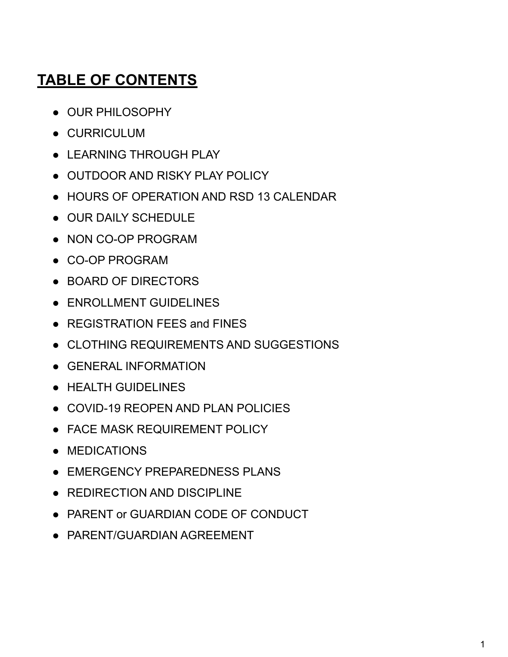# **TABLE OF CONTENTS**

- OUR PHILOSOPHY
- CURRICULUM
- **LEARNING THROUGH PLAY**
- OUTDOOR AND RISKY PLAY POLICY
- HOURS OF OPERATION AND RSD 13 CALENDAR
- OUR DAILY SCHEDULE
- NON CO-OP PROGRAM
- CO-OP PROGRAM
- BOARD OF DIRECTORS
- ENROLLMENT GUIDELINES
- REGISTRATION FEES and FINES
- CLOTHING REQUIREMENTS AND SUGGESTIONS
- GENERAL INFORMATION
- HEALTH GUIDELINES
- COVID-19 REOPEN AND PLAN POLICIES
- FACE MASK REQUIREMENT POLICY
- MEDICATIONS
- EMERGENCY PREPAREDNESS PLANS
- REDIRECTION AND DISCIPLINE
- PARENT or GUARDIAN CODE OF CONDUCT
- PARENT/GUARDIAN AGREEMENT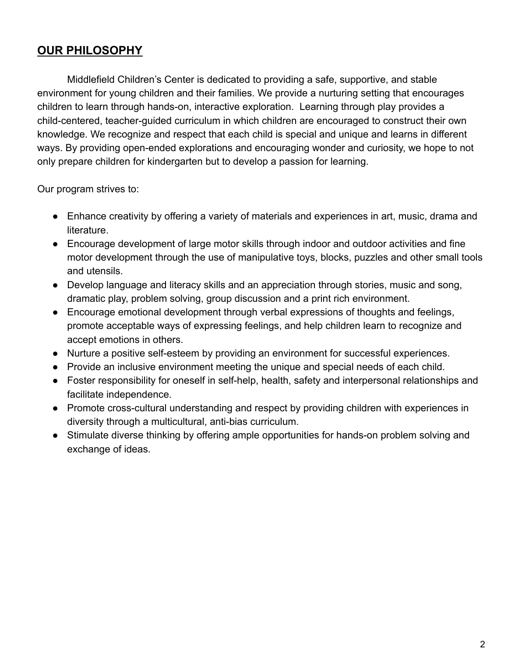# **OUR PHILOSOPHY**

Middlefield Children's Center is dedicated to providing a safe, supportive, and stable environment for young children and their families. We provide a nurturing setting that encourages children to learn through hands-on, interactive exploration. Learning through play provides a child-centered, teacher-guided curriculum in which children are encouraged to construct their own knowledge. We recognize and respect that each child is special and unique and learns in different ways. By providing open-ended explorations and encouraging wonder and curiosity, we hope to not only prepare children for kindergarten but to develop a passion for learning.

Our program strives to:

- Enhance creativity by offering a variety of materials and experiences in art, music, drama and literature.
- Encourage development of large motor skills through indoor and outdoor activities and fine motor development through the use of manipulative toys, blocks, puzzles and other small tools and utensils.
- Develop language and literacy skills and an appreciation through stories, music and song, dramatic play, problem solving, group discussion and a print rich environment.
- Encourage emotional development through verbal expressions of thoughts and feelings, promote acceptable ways of expressing feelings, and help children learn to recognize and accept emotions in others.
- Nurture a positive self-esteem by providing an environment for successful experiences.
- Provide an inclusive environment meeting the unique and special needs of each child.
- Foster responsibility for oneself in self-help, health, safety and interpersonal relationships and facilitate independence.
- Promote cross-cultural understanding and respect by providing children with experiences in diversity through a multicultural, anti-bias curriculum.
- Stimulate diverse thinking by offering ample opportunities for hands-on problem solving and exchange of ideas.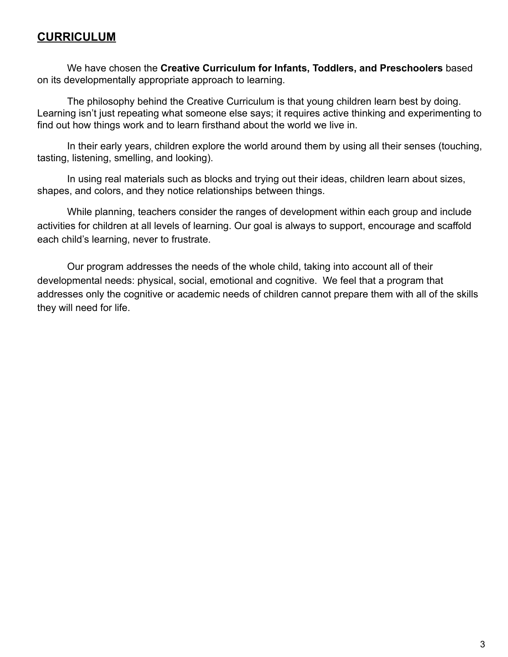### **CURRICULUM**

We have chosen the **Creative Curriculum for Infants, Toddlers, and Preschoolers** based on its developmentally appropriate approach to learning.

The philosophy behind the Creative Curriculum is that young children learn best by doing. Learning isn't just repeating what someone else says; it requires active thinking and experimenting to find out how things work and to learn firsthand about the world we live in.

In their early years, children explore the world around them by using all their senses (touching, tasting, listening, smelling, and looking).

In using real materials such as blocks and trying out their ideas, children learn about sizes, shapes, and colors, and they notice relationships between things.

While planning, teachers consider the ranges of development within each group and include activities for children at all levels of learning. Our goal is always to support, encourage and scaffold each child's learning, never to frustrate.

Our program addresses the needs of the whole child, taking into account all of their developmental needs: physical, social, emotional and cognitive. We feel that a program that addresses only the cognitive or academic needs of children cannot prepare them with all of the skills they will need for life.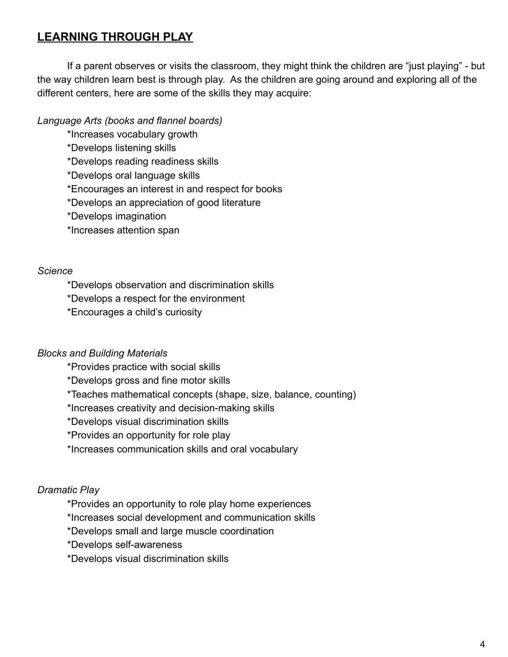### **LEARNING THROUGH PLAY**

If a parent observes or visits the classroom, they might think the children are "just playing" - but the way children learn best is through play. As the children are going around and exploring all of the different centers, here are some of the skills they may acquire:

### *Language Arts (books and flannel boards)*

\*Increases vocabulary growth

\*Develops listening skills

\*Develops reading readiness skills

\*Develops oral language skills

\*Encourages an interest in and respect for books

\*Develops an appreciation of good literature

\*Develops imagination

\*Increases attention span

#### *Science*

\*Develops observation and discrimination skills

\*Develops a respect for the environment

\*Encourages a child's curiosity

#### *Blocks and Building Materials*

\*Provides practice with social skills

\*Develops gross and fine motor skills

\*Teaches mathematical concepts (shape, size, balance, counting)

\*Increases creativity and decision-making skills

\*Develops visual discrimination skills

\*Provides an opportunity for role play

\*Increases communication skills and oral vocabulary

#### *Dramatic Play*

\*Provides an opportunity to role play home experiences

\*Increases social development and communication skills

\*Develops small and large muscle coordination

\*Develops self-awareness

\*Develops visual discrimination skills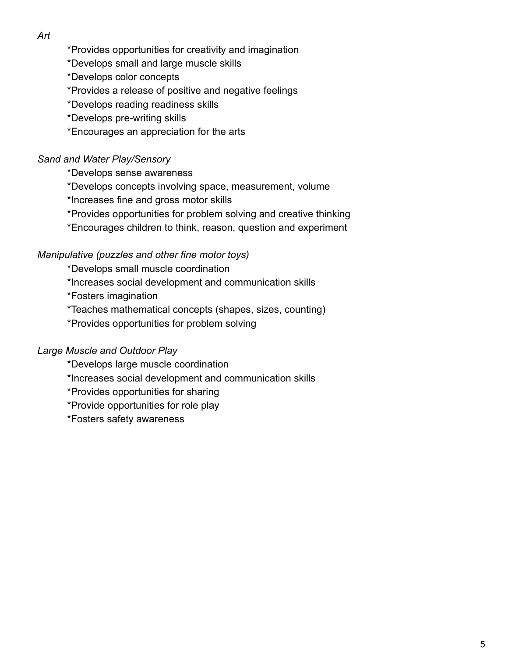*Art*

\*Provides opportunities for creativity and imagination

\*Develops small and large muscle skills

\*Develops color concepts

\*Provides a release of positive and negative feelings

\*Develops reading readiness skills

\*Develops pre-writing skills

\*Encourages an appreciation for the arts

### *Sand and Water Play/Sensory*

\*Develops sense awareness

\*Develops concepts involving space, measurement, volume

\*Increases fine and gross motor skills

\*Provides opportunities for problem solving and creative thinking

\*Encourages children to think, reason, question and experiment

#### *Manipulative (puzzles and other fine motor toys)*

\*Develops small muscle coordination \*Increases social development and communication skills \*Fosters imagination \*Teaches mathematical concepts (shapes, sizes, counting) \*Provides opportunities for problem solving

### *Large Muscle and Outdoor Play*

\*Develops large muscle coordination \*Increases social development and communication skills \*Provides opportunities for sharing \*Provide opportunities for role play \*Fosters safety awareness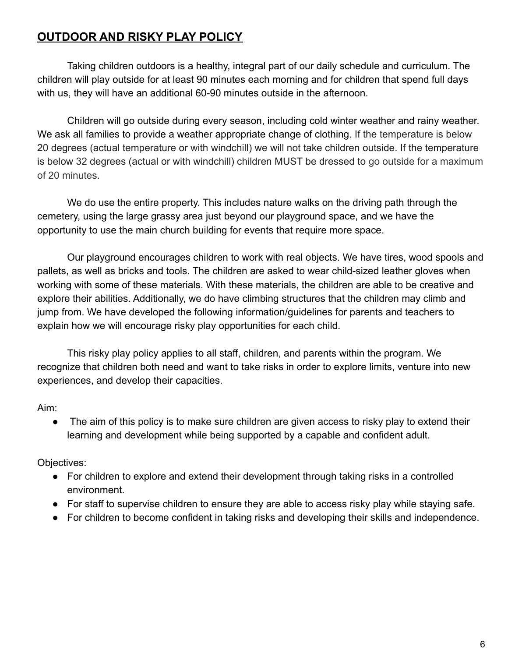# **OUTDOOR AND RISKY PLAY POLICY**

Taking children outdoors is a healthy, integral part of our daily schedule and curriculum. The children will play outside for at least 90 minutes each morning and for children that spend full days with us, they will have an additional 60-90 minutes outside in the afternoon.

Children will go outside during every season, including cold winter weather and rainy weather. We ask all families to provide a weather appropriate change of clothing. If the temperature is below 20 degrees (actual temperature or with windchill) we will not take children outside. If the temperature is below 32 degrees (actual or with windchill) children MUST be dressed to go outside for a maximum of 20 minutes.

We do use the entire property. This includes nature walks on the driving path through the cemetery, using the large grassy area just beyond our playground space, and we have the opportunity to use the main church building for events that require more space.

Our playground encourages children to work with real objects. We have tires, wood spools and pallets, as well as bricks and tools. The children are asked to wear child-sized leather gloves when working with some of these materials. With these materials, the children are able to be creative and explore their abilities. Additionally, we do have climbing structures that the children may climb and jump from. We have developed the following information/guidelines for parents and teachers to explain how we will encourage risky play opportunities for each child.

This risky play policy applies to all staff, children, and parents within the program. We recognize that children both need and want to take risks in order to explore limits, venture into new experiences, and develop their capacities.

Aim:

• The aim of this policy is to make sure children are given access to risky play to extend their learning and development while being supported by a capable and confident adult.

Objectives:

- For children to explore and extend their development through taking risks in a controlled environment.
- For staff to supervise children to ensure they are able to access risky play while staying safe.
- For children to become confident in taking risks and developing their skills and independence.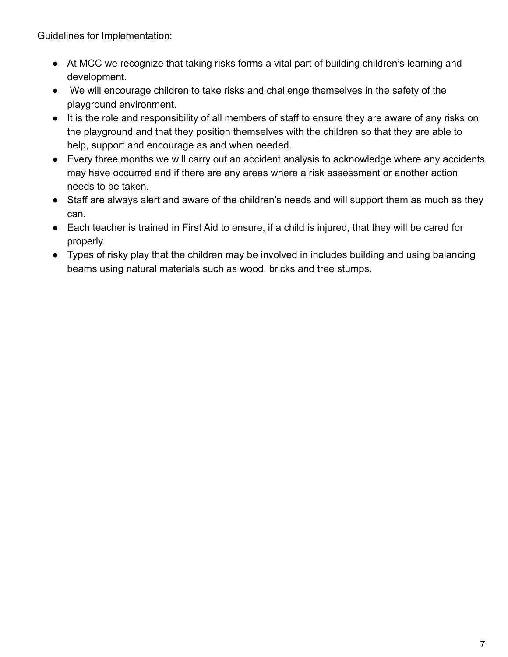Guidelines for Implementation:

- At MCC we recognize that taking risks forms a vital part of building children's learning and development.
- We will encourage children to take risks and challenge themselves in the safety of the playground environment.
- It is the role and responsibility of all members of staff to ensure they are aware of any risks on the playground and that they position themselves with the children so that they are able to help, support and encourage as and when needed.
- Every three months we will carry out an accident analysis to acknowledge where any accidents may have occurred and if there are any areas where a risk assessment or another action needs to be taken.
- Staff are always alert and aware of the children's needs and will support them as much as they can.
- Each teacher is trained in First Aid to ensure, if a child is injured, that they will be cared for properly.
- Types of risky play that the children may be involved in includes building and using balancing beams using natural materials such as wood, bricks and tree stumps.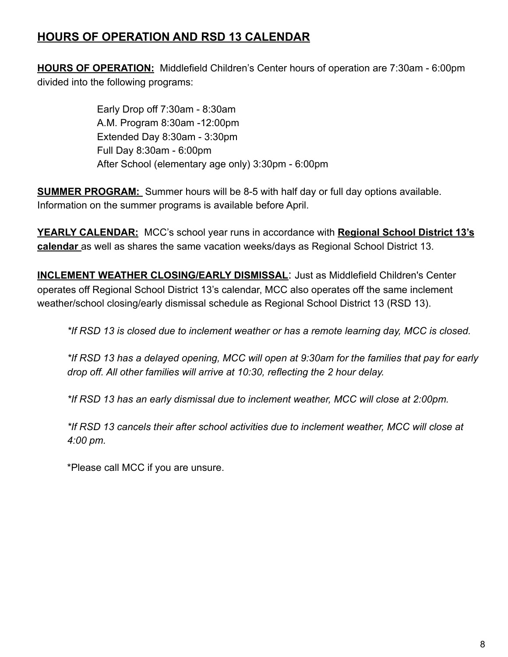# **HOURS OF OPERATION AND RSD 13 CALENDAR**

**HOURS OF OPERATION:** Middlefield Children's Center hours of operation are 7:30am - 6:00pm divided into the following programs:

> Early Drop off 7:30am - 8:30am A.M. Program 8:30am -12:00pm Extended Day 8:30am - 3:30pm Full Day 8:30am - 6:00pm After School (elementary age only) 3:30pm - 6:00pm

**SUMMER PROGRAM:** Summer hours will be 8-5 with half day or full day options available. Information on the summer programs is available before April.

**YEARLY CALENDAR:** MCC's school year runs in accordance with **Regional School District 13's calendar** as well as shares the same vacation weeks/days as Regional School District 13.

**INCLEMENT WEATHER CLOSING/EARLY DISMISSAL**: Just as Middlefield Children's Center operates off Regional School District 13's calendar, MCC also operates off the same inclement weather/school closing/early dismissal schedule as Regional School District 13 (RSD 13).

*\*If RSD 13 is closed due to inclement weather or has a remote learning day, MCC is closed.*

*\*If RSD 13 has a delayed opening, MCC will open at 9:30am for the families that pay for early drop off. All other families will arrive at 10:30, reflecting the 2 hour delay.*

*\*If RSD 13 has an early dismissal due to inclement weather, MCC will close at 2:00pm.*

*\*If RSD 13 cancels their after school activities due to inclement weather, MCC will close at 4:00 pm.*

\*Please call MCC if you are unsure.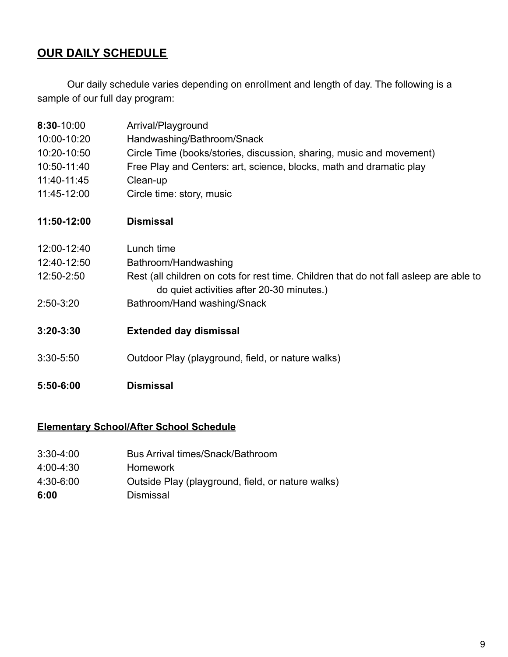### **OUR DAILY SCHEDULE**

**8:30**-10:00 Arrival/Playground

Our daily schedule varies depending on enrollment and length of day. The following is a sample of our full day program:

| 5:50-6:00     | <b>Dismissal</b>                                                                       |
|---------------|----------------------------------------------------------------------------------------|
| 3:30-5:50     | Outdoor Play (playground, field, or nature walks)                                      |
| $3:20 - 3:30$ | <b>Extended day dismissal</b>                                                          |
| 2:50-3:20     | do quiet activities after 20-30 minutes.)<br>Bathroom/Hand washing/Snack               |
| 12:50-2:50    | Rest (all children on cots for rest time. Children that do not fall asleep are able to |
| 12:40-12:50   | Bathroom/Handwashing                                                                   |
| 12:00-12:40   | Lunch time                                                                             |
| 11:50-12:00   | <b>Dismissal</b>                                                                       |
| 11:45-12:00   | Circle time: story, music                                                              |
| 11:40-11:45   | Clean-up                                                                               |
| 10:50-11:40   | Free Play and Centers: art, science, blocks, math and dramatic play                    |
| 10:20-10:50   | Circle Time (books/stories, discussion, sharing, music and movement)                   |
| 10:00-10:20   | Handwashing/Bathroom/Snack                                                             |
|               | , , an , .a , givana                                                                   |

### **Elementary School/After School Schedule**

- 3:30-4:00 Bus Arrival times/Snack/Bathroom
- 4:00-4:30 Homework
- 4:30-6:00 Outside Play (playground, field, or nature walks)
- **6:00** Dismissal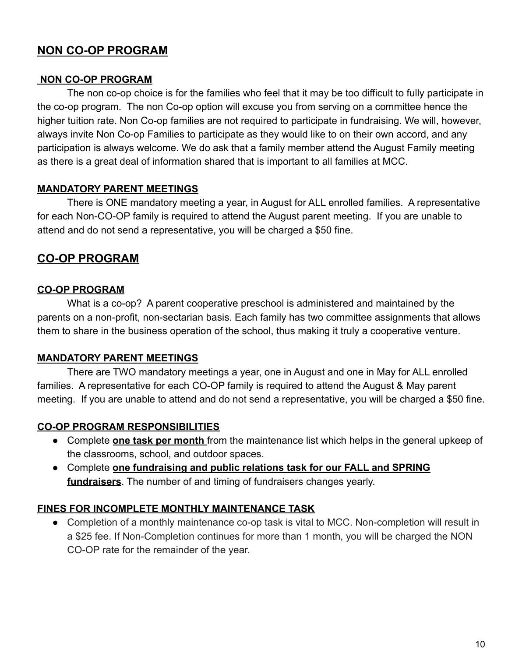# **NON CO-OP PROGRAM**

### **NON CO-OP PROGRAM**

The non co-op choice is for the families who feel that it may be too difficult to fully participate in the co-op program. The non Co-op option will excuse you from serving on a committee hence the higher tuition rate. Non Co-op families are not required to participate in fundraising. We will, however, always invite Non Co-op Families to participate as they would like to on their own accord, and any participation is always welcome. We do ask that a family member attend the August Family meeting as there is a great deal of information shared that is important to all families at MCC.

### **MANDATORY PARENT MEETINGS**

There is ONE mandatory meeting a year, in August for ALL enrolled families. A representative for each Non-CO-OP family is required to attend the August parent meeting. If you are unable to attend and do not send a representative, you will be charged a \$50 fine.

### **CO-OP PROGRAM**

### **CO-OP PROGRAM**

What is a co-op? A parent cooperative preschool is administered and maintained by the parents on a non-profit, non-sectarian basis. Each family has two committee assignments that allows them to share in the business operation of the school, thus making it truly a cooperative venture.

### **MANDATORY PARENT MEETINGS**

There are TWO mandatory meetings a year, one in August and one in May for ALL enrolled families. A representative for each CO-OP family is required to attend the August & May parent meeting. If you are unable to attend and do not send a representative, you will be charged a \$50 fine.

#### **CO-OP PROGRAM RESPONSIBILITIES**

- Complete **one task per month** from the maintenance list which helps in the general upkeep of the classrooms, school, and outdoor spaces.
- Complete **one fundraising and public relations task for our FALL and SPRING fundraisers**. The number of and timing of fundraisers changes yearly.

#### **FINES FOR INCOMPLETE MONTHLY MAINTENANCE TASK**

• Completion of a monthly maintenance co-op task is vital to MCC. Non-completion will result in a \$25 fee. If Non-Completion continues for more than 1 month, you will be charged the NON CO-OP rate for the remainder of the year.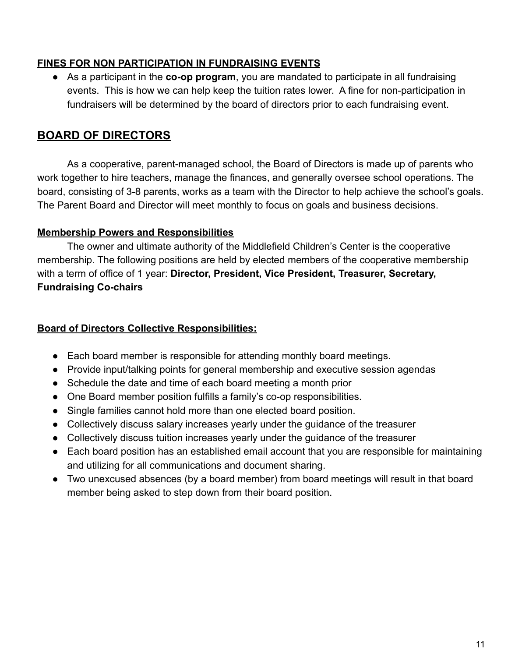### **FINES FOR NON PARTICIPATION IN FUNDRAISING EVENTS**

● As a participant in the **co-op program**, you are mandated to participate in all fundraising events. This is how we can help keep the tuition rates lower. A fine for non-participation in fundraisers will be determined by the board of directors prior to each fundraising event.

### **BOARD OF DIRECTORS**

As a cooperative, parent-managed school, the Board of Directors is made up of parents who work together to hire teachers, manage the finances, and generally oversee school operations. The board, consisting of 3-8 parents, works as a team with the Director to help achieve the school's goals. The Parent Board and Director will meet monthly to focus on goals and business decisions.

### **Membership Powers and Responsibilities**

The owner and ultimate authority of the Middlefield Children's Center is the cooperative membership. The following positions are held by elected members of the cooperative membership with a term of office of 1 year: **Director, President, Vice President, Treasurer, Secretary, Fundraising Co-chairs**

### **Board of Directors Collective Responsibilities:**

- Each board member is responsible for attending monthly board meetings.
- Provide input/talking points for general membership and executive session agendas
- Schedule the date and time of each board meeting a month prior
- One Board member position fulfills a family's co-op responsibilities.
- Single families cannot hold more than one elected board position.
- Collectively discuss salary increases yearly under the guidance of the treasurer
- Collectively discuss tuition increases yearly under the guidance of the treasurer
- Each board position has an established email account that you are responsible for maintaining and utilizing for all communications and document sharing.
- Two unexcused absences (by a board member) from board meetings will result in that board member being asked to step down from their board position.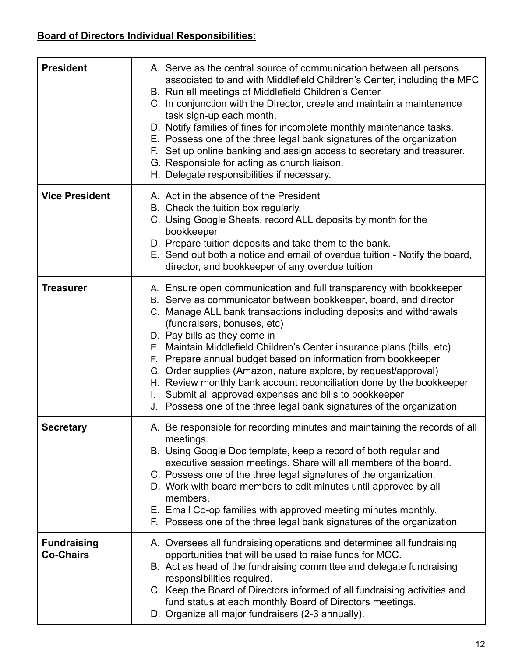# **Board of Directors Individual Responsibilities:**

| <b>President</b>                       | A. Serve as the central source of communication between all persons<br>associated to and with Middlefield Children's Center, including the MFC<br>B. Run all meetings of Middlefield Children's Center<br>C. In conjunction with the Director, create and maintain a maintenance<br>task sign-up each month.<br>D. Notify families of fines for incomplete monthly maintenance tasks.<br>E. Possess one of the three legal bank signatures of the organization<br>F. Set up online banking and assign access to secretary and treasurer.<br>G. Responsible for acting as church liaison.<br>H. Delegate responsibilities if necessary.                                                                   |
|----------------------------------------|----------------------------------------------------------------------------------------------------------------------------------------------------------------------------------------------------------------------------------------------------------------------------------------------------------------------------------------------------------------------------------------------------------------------------------------------------------------------------------------------------------------------------------------------------------------------------------------------------------------------------------------------------------------------------------------------------------|
| <b>Vice President</b>                  | A. Act in the absence of the President<br>B. Check the tuition box regularly.<br>C. Using Google Sheets, record ALL deposits by month for the<br>bookkeeper<br>D. Prepare tuition deposits and take them to the bank.<br>E. Send out both a notice and email of overdue tuition - Notify the board,<br>director, and bookkeeper of any overdue tuition                                                                                                                                                                                                                                                                                                                                                   |
| <b>Treasurer</b>                       | A. Ensure open communication and full transparency with bookkeeper<br>B. Serve as communicator between bookkeeper, board, and director<br>C. Manage ALL bank transactions including deposits and withdrawals<br>(fundraisers, bonuses, etc)<br>D. Pay bills as they come in<br>E. Maintain Middlefield Children's Center insurance plans (bills, etc)<br>F. Prepare annual budget based on information from bookkeeper<br>G. Order supplies (Amazon, nature explore, by request/approval)<br>H. Review monthly bank account reconciliation done by the bookkeeper<br>Submit all approved expenses and bills to bookkeeper<br>L.<br>J. Possess one of the three legal bank signatures of the organization |
| <b>Secretary</b>                       | A. Be responsible for recording minutes and maintaining the records of all<br>meetings.<br>B. Using Google Doc template, keep a record of both regular and<br>executive session meetings. Share will all members of the board.<br>C. Possess one of the three legal signatures of the organization.<br>D. Work with board members to edit minutes until approved by all<br>members.<br>E. Email Co-op families with approved meeting minutes monthly.<br>F. Possess one of the three legal bank signatures of the organization                                                                                                                                                                           |
| <b>Fundraising</b><br><b>Co-Chairs</b> | A. Oversees all fundraising operations and determines all fundraising<br>opportunities that will be used to raise funds for MCC.<br>B. Act as head of the fundraising committee and delegate fundraising<br>responsibilities required.<br>C. Keep the Board of Directors informed of all fundraising activities and<br>fund status at each monthly Board of Directors meetings.<br>D. Organize all major fundraisers (2-3 annually).                                                                                                                                                                                                                                                                     |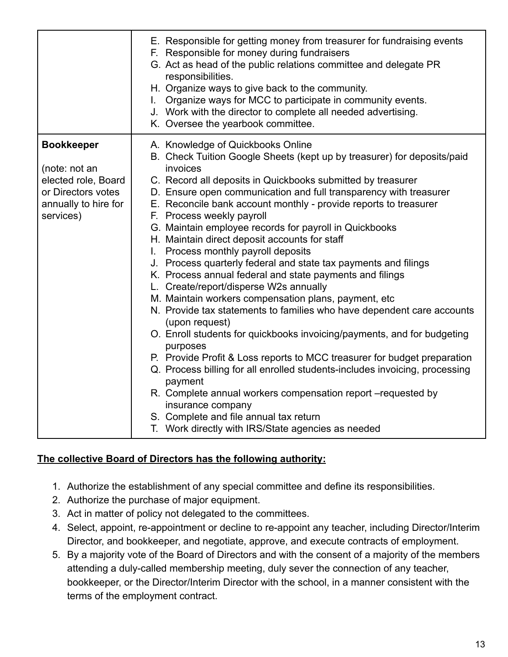|                                    | E. Responsible for getting money from treasurer for fundraising events<br>F. Responsible for money during fundraisers<br>G. Act as head of the public relations committee and delegate PR<br>responsibilities.<br>H. Organize ways to give back to the community.<br>I. Organize ways for MCC to participate in community events.<br>J. Work with the director to complete all needed advertising.<br>K. Oversee the yearbook committee. |
|------------------------------------|------------------------------------------------------------------------------------------------------------------------------------------------------------------------------------------------------------------------------------------------------------------------------------------------------------------------------------------------------------------------------------------------------------------------------------------|
| <b>Bookkeeper</b><br>(note: not an | A. Knowledge of Quickbooks Online<br>B. Check Tuition Google Sheets (kept up by treasurer) for deposits/paid<br>invoices                                                                                                                                                                                                                                                                                                                 |
| elected role, Board                | C. Record all deposits in Quickbooks submitted by treasurer                                                                                                                                                                                                                                                                                                                                                                              |
| or Directors votes                 | D. Ensure open communication and full transparency with treasurer                                                                                                                                                                                                                                                                                                                                                                        |
| annually to hire for               | E. Reconcile bank account monthly - provide reports to treasurer                                                                                                                                                                                                                                                                                                                                                                         |
| services)                          | F. Process weekly payroll                                                                                                                                                                                                                                                                                                                                                                                                                |
|                                    | G. Maintain employee records for payroll in Quickbooks                                                                                                                                                                                                                                                                                                                                                                                   |
|                                    | H. Maintain direct deposit accounts for staff                                                                                                                                                                                                                                                                                                                                                                                            |
|                                    | I. Process monthly payroll deposits                                                                                                                                                                                                                                                                                                                                                                                                      |
|                                    | J. Process quarterly federal and state tax payments and filings                                                                                                                                                                                                                                                                                                                                                                          |
|                                    | K. Process annual federal and state payments and filings                                                                                                                                                                                                                                                                                                                                                                                 |
|                                    | L. Create/report/disperse W2s annually                                                                                                                                                                                                                                                                                                                                                                                                   |
|                                    | M. Maintain workers compensation plans, payment, etc                                                                                                                                                                                                                                                                                                                                                                                     |
|                                    | N. Provide tax statements to families who have dependent care accounts<br>(upon request)                                                                                                                                                                                                                                                                                                                                                 |
|                                    | O. Enroll students for quickbooks invoicing/payments, and for budgeting<br>purposes                                                                                                                                                                                                                                                                                                                                                      |
|                                    | P. Provide Profit & Loss reports to MCC treasurer for budget preparation                                                                                                                                                                                                                                                                                                                                                                 |
|                                    | Q. Process billing for all enrolled students-includes invoicing, processing<br>payment                                                                                                                                                                                                                                                                                                                                                   |
|                                    | R. Complete annual workers compensation report -requested by<br>insurance company                                                                                                                                                                                                                                                                                                                                                        |
|                                    | S. Complete and file annual tax return                                                                                                                                                                                                                                                                                                                                                                                                   |
|                                    | T. Work directly with IRS/State agencies as needed                                                                                                                                                                                                                                                                                                                                                                                       |

#### **The collective Board of Directors has the following authority:**

- 1. Authorize the establishment of any special committee and define its responsibilities.
- 2. Authorize the purchase of major equipment.
- 3. Act in matter of policy not delegated to the committees.
- 4. Select, appoint, re-appointment or decline to re-appoint any teacher, including Director/Interim Director, and bookkeeper, and negotiate, approve, and execute contracts of employment.
- 5. By a majority vote of the Board of Directors and with the consent of a majority of the members attending a duly-called membership meeting, duly sever the connection of any teacher, bookkeeper, or the Director/Interim Director with the school, in a manner consistent with the terms of the employment contract.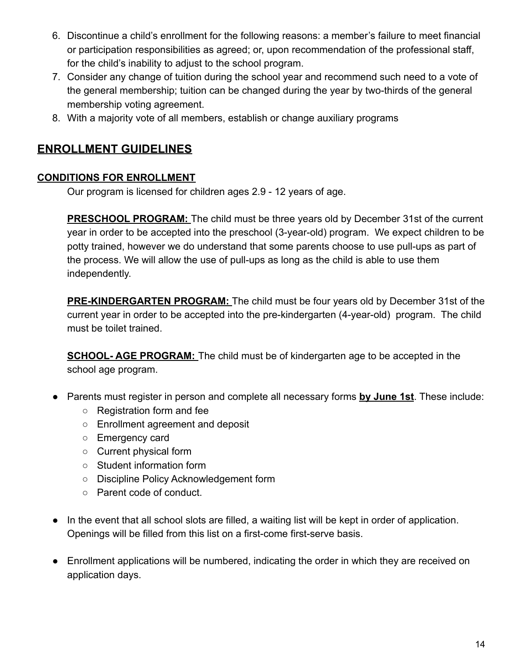- 6. Discontinue a child's enrollment for the following reasons: a member's failure to meet financial or participation responsibilities as agreed; or, upon recommendation of the professional staff, for the child's inability to adjust to the school program.
- 7. Consider any change of tuition during the school year and recommend such need to a vote of the general membership; tuition can be changed during the year by two-thirds of the general membership voting agreement.
- 8. With a majority vote of all members, establish or change auxiliary programs

# **ENROLLMENT GUIDELINES**

### **CONDITIONS FOR ENROLLMENT**

Our program is licensed for children ages 2.9 - 12 years of age.

**PRESCHOOL PROGRAM:** The child must be three years old by December 31st of the current year in order to be accepted into the preschool (3-year-old) program. We expect children to be potty trained, however we do understand that some parents choose to use pull-ups as part of the process. We will allow the use of pull-ups as long as the child is able to use them independently.

**PRE-KINDERGARTEN PROGRAM:** The child must be four years old by December 31st of the current year in order to be accepted into the pre-kindergarten (4-year-old) program. The child must be toilet trained.

**SCHOOL- AGE PROGRAM:** The child must be of kindergarten age to be accepted in the school age program.

- Parents must register in person and complete all necessary forms **by June 1st**. These include:
	- Registration form and fee
	- Enrollment agreement and deposit
	- Emergency card
	- Current physical form
	- Student information form
	- Discipline Policy Acknowledgement form
	- Parent code of conduct.
- In the event that all school slots are filled, a waiting list will be kept in order of application. Openings will be filled from this list on a first-come first-serve basis.
- Enrollment applications will be numbered, indicating the order in which they are received on application days.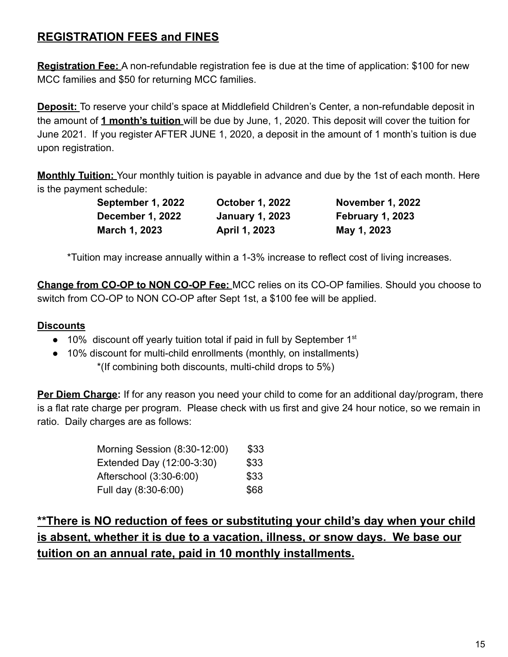# **REGISTRATION FEES and FINES**

**Registration Fee:** A non-refundable registration fee is due at the time of application: \$100 for new MCC families and \$50 for returning MCC families.

**Deposit:** To reserve your child's space at Middlefield Children's Center, a non-refundable deposit in the amount of **1 month's tuition** will be due by June, 1, 2020. This deposit will cover the tuition for June 2021. If you register AFTER JUNE 1, 2020, a deposit in the amount of 1 month's tuition is due upon registration.

**Monthly Tuition:** Your monthly tuition is payable in advance and due by the 1st of each month. Here is the payment schedule:

| September 1, 2022       | <b>October 1, 2022</b> | <b>November 1, 2022</b> |
|-------------------------|------------------------|-------------------------|
| <b>December 1, 2022</b> | <b>January 1, 2023</b> | <b>February 1, 2023</b> |
| March 1, 2023           | <b>April 1, 2023</b>   | May 1, 2023             |

\*Tuition may increase annually within a 1-3% increase to reflect cost of living increases.

**Change from CO-OP to NON CO-OP Fee:** MCC relies on its CO-OP families. Should you choose to switch from CO-OP to NON CO-OP after Sept 1st, a \$100 fee will be applied.

### **Discounts**

- $\bullet$  10% discount off yearly tuition total if paid in full by September 1<sup>st</sup>
- 10% discount for multi-child enrollments (monthly, on installments) \*(If combining both discounts, multi-child drops to 5%)

**Per Diem Charge:** If for any reason you need your child to come for an additional day/program, there is a flat rate charge per program. Please check with us first and give 24 hour notice, so we remain in ratio. Daily charges are as follows:

| Morning Session (8:30-12:00) | \$33 |
|------------------------------|------|
| Extended Day (12:00-3:30)    | \$33 |
| Afterschool (3:30-6:00)      | \$33 |
| Full day (8:30-6:00)         | \$68 |

**\*\*There is NO reduction of fees or substituting your child's day when your child is absent, whether it is due to a vacation, illness, or snow days. We base our tuition on an annual rate, paid in 10 monthly installments.**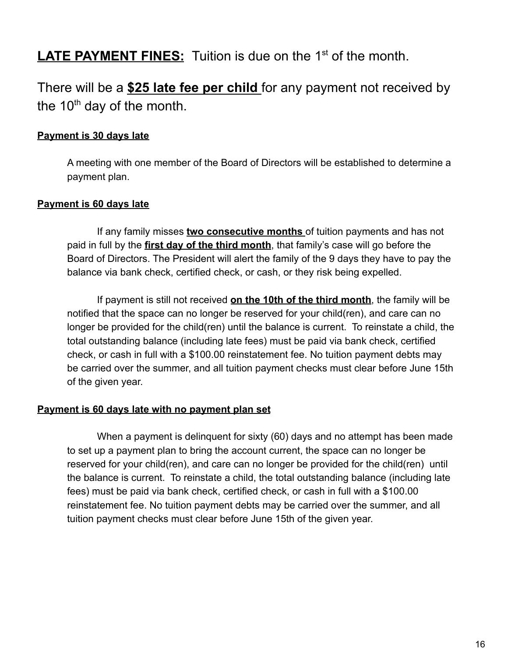# LATE PAYMENT FINES: Tuition is due on the 1<sup>st</sup> of the month.

# There will be a **\$25 late fee per child** for any payment not received by the  $10<sup>th</sup>$  day of the month.

### **Payment is 30 days late**

A meeting with one member of the Board of Directors will be established to determine a payment plan.

#### **Payment is 60 days late**

If any family misses **two consecutive months** of tuition payments and has not paid in full by the **first day of the third month**, that family's case will go before the Board of Directors. The President will alert the family of the 9 days they have to pay the balance via bank check, certified check, or cash, or they risk being expelled.

If payment is still not received **on the 10th of the third month**, the family will be notified that the space can no longer be reserved for your child(ren), and care can no longer be provided for the child(ren) until the balance is current. To reinstate a child, the total outstanding balance (including late fees) must be paid via bank check, certified check, or cash in full with a \$100.00 reinstatement fee. No tuition payment debts may be carried over the summer, and all tuition payment checks must clear before June 15th of the given year.

#### **Payment is 60 days late with no payment plan set**

When a payment is delinquent for sixty (60) days and no attempt has been made to set up a payment plan to bring the account current, the space can no longer be reserved for your child(ren), and care can no longer be provided for the child(ren) until the balance is current. To reinstate a child, the total outstanding balance (including late fees) must be paid via bank check, certified check, or cash in full with a \$100.00 reinstatement fee. No tuition payment debts may be carried over the summer, and all tuition payment checks must clear before June 15th of the given year.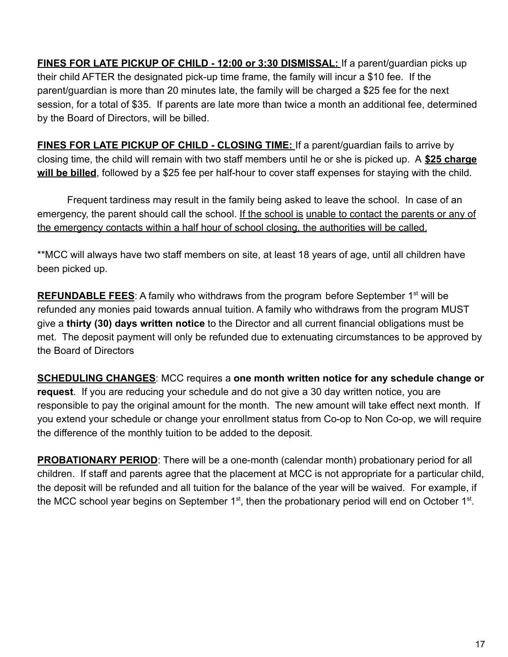**FINES FOR LATE PICKUP OF CHILD - 12:00 or 3:30 DISMISSAL:** If a parent/guardian picks up their child AFTER the designated pick-up time frame, the family will incur a \$10 fee. If the parent/guardian is more than 20 minutes late, the family will be charged a \$25 fee for the next session, for a total of \$35. If parents are late more than twice a month an additional fee, determined by the Board of Directors, will be billed.

**FINES FOR LATE PICKUP OF CHILD - CLOSING TIME:** If a parent/guardian fails to arrive by closing time, the child will remain with two staff members until he or she is picked up. A **\$25 charge will be billed**, followed by a \$25 fee per half-hour to cover staff expenses for staying with the child.

Frequent tardiness may result in the family being asked to leave the school. In case of an emergency, the parent should call the school. If the school is unable to contact the parents or any of the emergency contacts within a half hour of school closing, the authorities will be called.

\*\*MCC will always have two staff members on site, at least 18 years of age, until all children have been picked up.

**REFUNDABLE FEES:** A family who withdraws from the program before September 1<sup>st</sup> will be refunded any monies paid towards annual tuition. A family who withdraws from the program MUST give a **thirty (30) days written notice** to the Director and all current financial obligations must be met. The deposit payment will only be refunded due to extenuating circumstances to be approved by the Board of Directors

**SCHEDULING CHANGES**: MCC requires a **one month written notice for any schedule change or request**. If you are reducing your schedule and do not give a 30 day written notice, you are responsible to pay the original amount for the month. The new amount will take effect next month. If you extend your schedule or change your enrollment status from Co-op to Non Co-op, we will require the difference of the monthly tuition to be added to the deposit.

**PROBATIONARY PERIOD**: There will be a one-month (calendar month) probationary period for all children. If staff and parents agree that the placement at MCC is not appropriate for a particular child, the deposit will be refunded and all tuition for the balance of the year will be waived. For example, if the MCC school year begins on September 1<sup>st</sup>, then the probationary period will end on October 1<sup>st</sup>.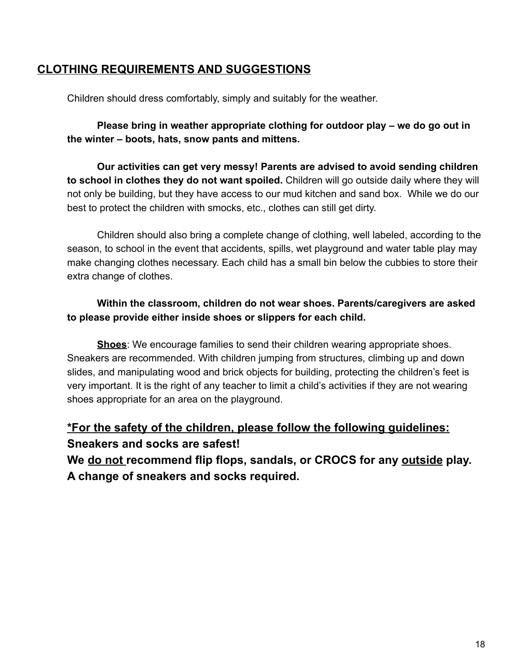### **CLOTHING REQUIREMENTS AND SUGGESTIONS**

Children should dress comfortably, simply and suitably for the weather.

**Please bring in weather appropriate clothing for outdoor play – we do go out in the winter – boots, hats, snow pants and mittens.**

**Our activities can get very messy! Parents are advised to avoid sending children to school in clothes they do not want spoiled.** Children will go outside daily where they will not only be building, but they have access to our mud kitchen and sand box. While we do our best to protect the children with smocks, etc., clothes can still get dirty.

Children should also bring a complete change of clothing, well labeled, according to the season, to school in the event that accidents, spills, wet playground and water table play may make changing clothes necessary. Each child has a small bin below the cubbies to store their extra change of clothes.

### **Within the classroom, children do not wear shoes. Parents/caregivers are asked to please provide either inside shoes or slippers for each child.**

**Shoes**: We encourage families to send their children wearing appropriate shoes. Sneakers are recommended. With children jumping from structures, climbing up and down slides, and manipulating wood and brick objects for building, protecting the children's feet is very important. It is the right of any teacher to limit a child's activities if they are not wearing shoes appropriate for an area on the playground.

# **\*For the safety of the children, please follow the following guidelines: Sneakers and socks are safest!**

**We do not recommend flip flops, sandals, or CROCS for any outside play. A change of sneakers and socks required.**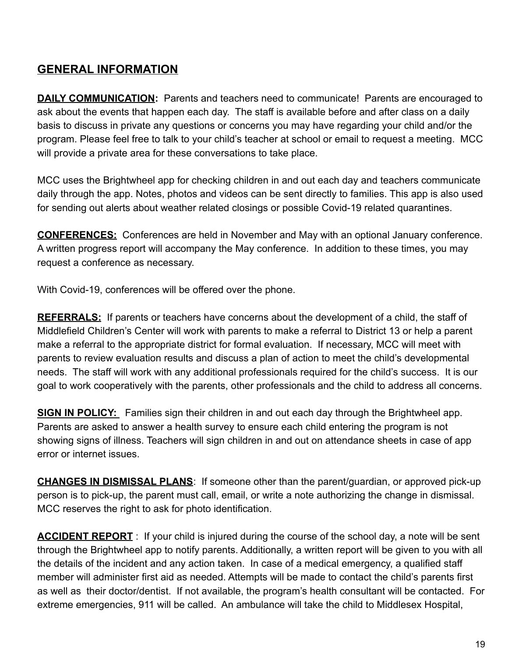# **GENERAL INFORMATION**

**DAILY COMMUNICATION:** Parents and teachers need to communicate! Parents are encouraged to ask about the events that happen each day. The staff is available before and after class on a daily basis to discuss in private any questions or concerns you may have regarding your child and/or the program. Please feel free to talk to your child's teacher at school or email to request a meeting. MCC will provide a private area for these conversations to take place.

MCC uses the Brightwheel app for checking children in and out each day and teachers communicate daily through the app. Notes, photos and videos can be sent directly to families. This app is also used for sending out alerts about weather related closings or possible Covid-19 related quarantines.

**CONFERENCES:** Conferences are held in November and May with an optional January conference. A written progress report will accompany the May conference. In addition to these times, you may request a conference as necessary.

With Covid-19, conferences will be offered over the phone.

**REFERRALS:** If parents or teachers have concerns about the development of a child, the staff of Middlefield Children's Center will work with parents to make a referral to District 13 or help a parent make a referral to the appropriate district for formal evaluation. If necessary, MCC will meet with parents to review evaluation results and discuss a plan of action to meet the child's developmental needs. The staff will work with any additional professionals required for the child's success. It is our goal to work cooperatively with the parents, other professionals and the child to address all concerns.

**SIGN IN POLICY:** Families sign their children in and out each day through the Brightwheel app. Parents are asked to answer a health survey to ensure each child entering the program is not showing signs of illness. Teachers will sign children in and out on attendance sheets in case of app error or internet issues.

**CHANGES IN DISMISSAL PLANS**: If someone other than the parent/guardian, or approved pick-up person is to pick-up, the parent must call, email, or write a note authorizing the change in dismissal. MCC reserves the right to ask for photo identification.

**ACCIDENT REPORT** : If your child is injured during the course of the school day, a note will be sent through the Brightwheel app to notify parents. Additionally, a written report will be given to you with all the details of the incident and any action taken. In case of a medical emergency, a qualified staff member will administer first aid as needed. Attempts will be made to contact the child's parents first as well as their doctor/dentist. If not available, the program's health consultant will be contacted. For extreme emergencies, 911 will be called. An ambulance will take the child to Middlesex Hospital,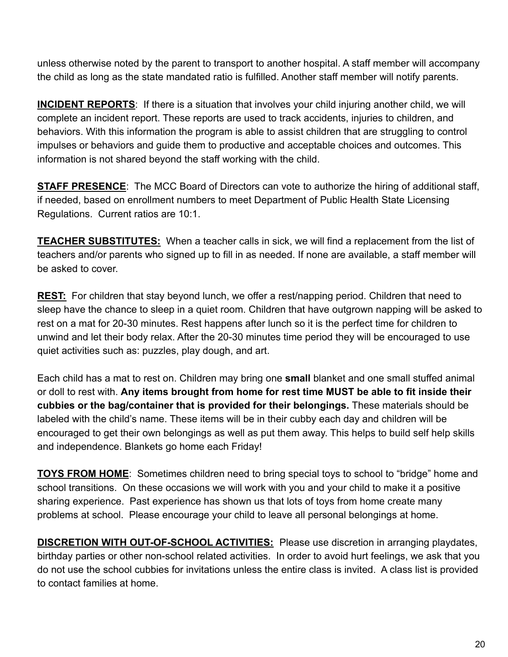unless otherwise noted by the parent to transport to another hospital. A staff member will accompany the child as long as the state mandated ratio is fulfilled. Another staff member will notify parents.

**INCIDENT REPORTS**: If there is a situation that involves your child injuring another child, we will complete an incident report. These reports are used to track accidents, injuries to children, and behaviors. With this information the program is able to assist children that are struggling to control impulses or behaviors and guide them to productive and acceptable choices and outcomes. This information is not shared beyond the staff working with the child.

**STAFF PRESENCE:** The MCC Board of Directors can vote to authorize the hiring of additional staff, if needed, based on enrollment numbers to meet Department of Public Health State Licensing Regulations. Current ratios are 10:1.

**TEACHER SUBSTITUTES:** When a teacher calls in sick, we will find a replacement from the list of teachers and/or parents who signed up to fill in as needed. If none are available, a staff member will be asked to cover.

**REST:** For children that stay beyond lunch, we offer a rest/napping period. Children that need to sleep have the chance to sleep in a quiet room. Children that have outgrown napping will be asked to rest on a mat for 20-30 minutes. Rest happens after lunch so it is the perfect time for children to unwind and let their body relax. After the 20-30 minutes time period they will be encouraged to use quiet activities such as: puzzles, play dough, and art.

Each child has a mat to rest on. Children may bring one **small** blanket and one small stuffed animal or doll to rest with. **Any items brought from home for rest time MUST be able to fit inside their cubbies or the bag/container that is provided for their belongings.** These materials should be labeled with the child's name. These items will be in their cubby each day and children will be encouraged to get their own belongings as well as put them away. This helps to build self help skills and independence. Blankets go home each Friday!

**TOYS FROM HOME**: Sometimes children need to bring special toys to school to "bridge" home and school transitions. On these occasions we will work with you and your child to make it a positive sharing experience. Past experience has shown us that lots of toys from home create many problems at school. Please encourage your child to leave all personal belongings at home.

**DISCRETION WITH OUT-OF-SCHOOL ACTIVITIES:** Please use discretion in arranging playdates, birthday parties or other non-school related activities. In order to avoid hurt feelings, we ask that you do not use the school cubbies for invitations unless the entire class is invited. A class list is provided to contact families at home.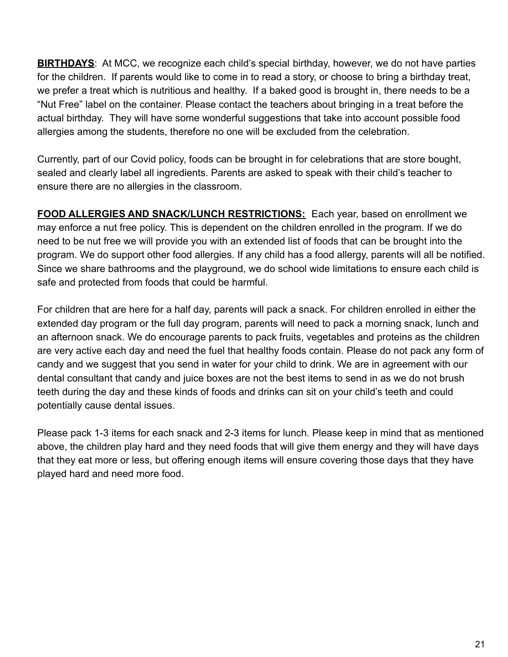**BIRTHDAYS**: At MCC, we recognize each child's special birthday, however, we do not have parties for the children. If parents would like to come in to read a story, or choose to bring a birthday treat, we prefer a treat which is nutritious and healthy. If a baked good is brought in, there needs to be a "Nut Free" label on the container. Please contact the teachers about bringing in a treat before the actual birthday. They will have some wonderful suggestions that take into account possible food allergies among the students, therefore no one will be excluded from the celebration.

Currently, part of our Covid policy, foods can be brought in for celebrations that are store bought, sealed and clearly label all ingredients. Parents are asked to speak with their child's teacher to ensure there are no allergies in the classroom.

**FOOD ALLERGIES AND SNACK/LUNCH RESTRICTIONS:** Each year, based on enrollment we may enforce a nut free policy. This is dependent on the children enrolled in the program. If we do need to be nut free we will provide you with an extended list of foods that can be brought into the program. We do support other food allergies. If any child has a food allergy, parents will all be notified. Since we share bathrooms and the playground, we do school wide limitations to ensure each child is safe and protected from foods that could be harmful.

For children that are here for a half day, parents will pack a snack. For children enrolled in either the extended day program or the full day program, parents will need to pack a morning snack, lunch and an afternoon snack. We do encourage parents to pack fruits, vegetables and proteins as the children are very active each day and need the fuel that healthy foods contain. Please do not pack any form of candy and we suggest that you send in water for your child to drink. We are in agreement with our dental consultant that candy and juice boxes are not the best items to send in as we do not brush teeth during the day and these kinds of foods and drinks can sit on your child's teeth and could potentially cause dental issues.

Please pack 1-3 items for each snack and 2-3 items for lunch. Please keep in mind that as mentioned above, the children play hard and they need foods that will give them energy and they will have days that they eat more or less, but offering enough items will ensure covering those days that they have played hard and need more food.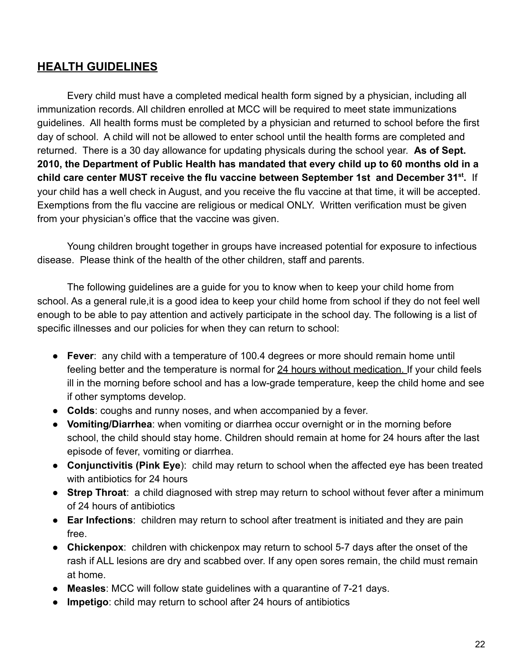### **HEALTH GUIDELINES**

Every child must have a completed medical health form signed by a physician, including all immunization records. All children enrolled at MCC will be required to meet state immunizations guidelines. All health forms must be completed by a physician and returned to school before the first day of school. A child will not be allowed to enter school until the health forms are completed and returned. There is a 30 day allowance for updating physicals during the school year. **As of Sept. 2010, the Department of Public Health has mandated that every child up to 60 months old in a child care center MUST receive the flu vaccine between September 1st and December 31st .** If your child has a well check in August, and you receive the flu vaccine at that time, it will be accepted. Exemptions from the flu vaccine are religious or medical ONLY. Written verification must be given from your physician's office that the vaccine was given.

Young children brought together in groups have increased potential for exposure to infectious disease. Please think of the health of the other children, staff and parents.

The following guidelines are a guide for you to know when to keep your child home from school. As a general rule,it is a good idea to keep your child home from school if they do not feel well enough to be able to pay attention and actively participate in the school day. The following is a list of specific illnesses and our policies for when they can return to school:

- **Fever**: any child with a temperature of 100.4 degrees or more should remain home until feeling better and the temperature is normal for 24 hours without medication. If your child feels ill in the morning before school and has a low-grade temperature, keep the child home and see if other symptoms develop.
- **Colds**: coughs and runny noses, and when accompanied by a fever.
- **Vomiting/Diarrhea**: when vomiting or diarrhea occur overnight or in the morning before school, the child should stay home. Children should remain at home for 24 hours after the last episode of fever, vomiting or diarrhea.
- **Conjunctivitis (Pink Eye**): child may return to school when the affected eye has been treated with antibiotics for 24 hours
- **Strep Throat**: a child diagnosed with strep may return to school without fever after a minimum of 24 hours of antibiotics
- **Ear Infections**: children may return to school after treatment is initiated and they are pain free.
- **Chickenpox**: children with chickenpox may return to school 5-7 days after the onset of the rash if ALL lesions are dry and scabbed over. If any open sores remain, the child must remain at home.
- **Measles**: MCC will follow state guidelines with a quarantine of 7-21 days.
- **Impetigo**: child may return to school after 24 hours of antibiotics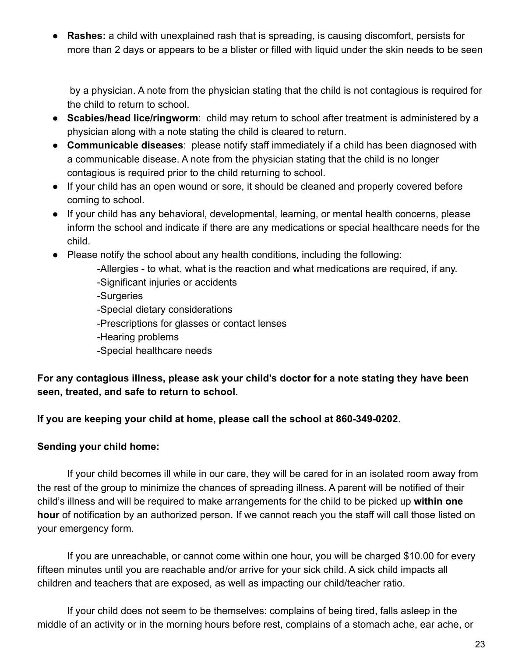● **Rashes:** a child with unexplained rash that is spreading, is causing discomfort, persists for more than 2 days or appears to be a blister or filled with liquid under the skin needs to be seen

by a physician. A note from the physician stating that the child is not contagious is required for the child to return to school.

- **Scabies/head lice/ringworm**: child may return to school after treatment is administered by a physician along with a note stating the child is cleared to return.
- **Communicable diseases**: please notify staff immediately if a child has been diagnosed with a communicable disease. A note from the physician stating that the child is no longer contagious is required prior to the child returning to school.
- If your child has an open wound or sore, it should be cleaned and properly covered before coming to school.
- If your child has any behavioral, developmental, learning, or mental health concerns, please inform the school and indicate if there are any medications or special healthcare needs for the child.
- Please notify the school about any health conditions, including the following:
	- -Allergies to what, what is the reaction and what medications are required, if any.
	- -Significant injuries or accidents
	- -Surgeries
	- -Special dietary considerations
	- -Prescriptions for glasses or contact lenses
	- -Hearing problems
	- -Special healthcare needs

**For any contagious illness, please ask your child's doctor for a note stating they have been seen, treated, and safe to return to school.**

#### **If you are keeping your child at home, please call the school at 860-349-0202**.

#### **Sending your child home:**

If your child becomes ill while in our care, they will be cared for in an isolated room away from the rest of the group to minimize the chances of spreading illness. A parent will be notified of their child's illness and will be required to make arrangements for the child to be picked up **within one hour** of notification by an authorized person. If we cannot reach you the staff will call those listed on your emergency form.

If you are unreachable, or cannot come within one hour, you will be charged \$10.00 for every fifteen minutes until you are reachable and/or arrive for your sick child. A sick child impacts all children and teachers that are exposed, as well as impacting our child/teacher ratio.

If your child does not seem to be themselves: complains of being tired, falls asleep in the middle of an activity or in the morning hours before rest, complains of a stomach ache, ear ache, or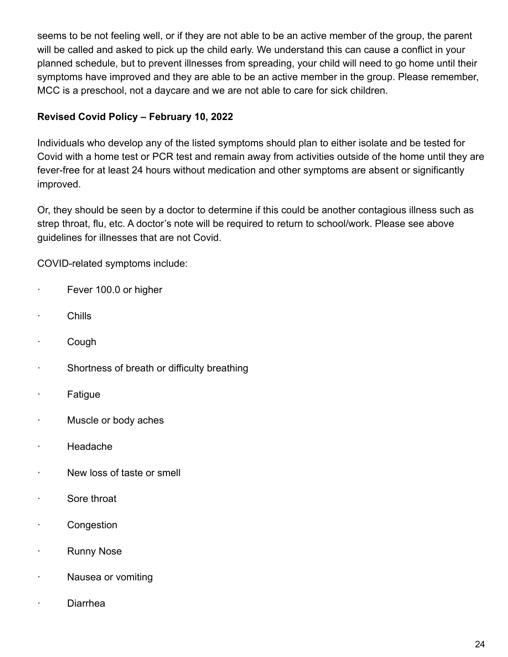seems to be not feeling well, or if they are not able to be an active member of the group, the parent will be called and asked to pick up the child early. We understand this can cause a conflict in your planned schedule, but to prevent illnesses from spreading, your child will need to go home until their symptoms have improved and they are able to be an active member in the group. Please remember, MCC is a preschool, not a daycare and we are not able to care for sick children.

### **Revised Covid Policy – February 10, 2022**

Individuals who develop any of the listed symptoms should plan to either isolate and be tested for Covid with a home test or PCR test and remain away from activities outside of the home until they are fever-free for at least 24 hours without medication and other symptoms are absent or significantly improved.

Or, they should be seen by a doctor to determine if this could be another contagious illness such as strep throat, flu, etc. A doctor's note will be required to return to school/work. Please see above guidelines for illnesses that are not Covid.

COVID-related symptoms include:

- · Fever 100.0 or higher
- · Chills
- · Cough
- · Shortness of breath or difficulty breathing
- · Fatigue
- · Muscle or body aches
- · Headache
- · New loss of taste or smell
- · Sore throat
- · Congestion
- · Runny Nose
- · Nausea or vomiting
- · Diarrhea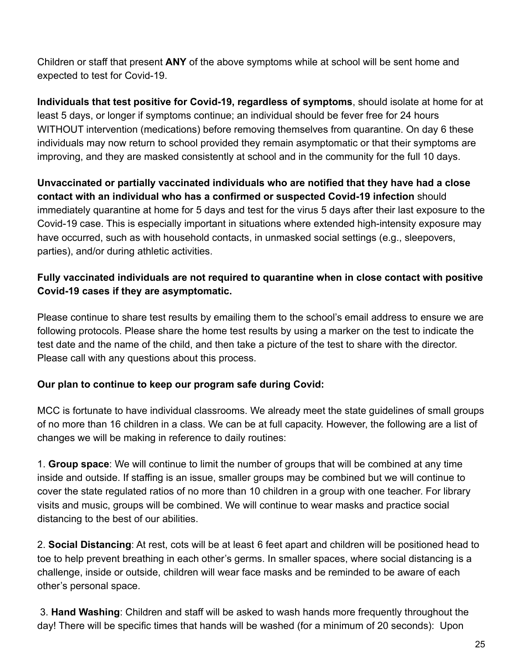Children or staff that present **ANY** of the above symptoms while at school will be sent home and expected to test for Covid-19.

**Individuals that test positive for Covid-19, regardless of symptoms**, should isolate at home for at least 5 days, or longer if symptoms continue; an individual should be fever free for 24 hours WITHOUT intervention (medications) before removing themselves from quarantine. On day 6 these individuals may now return to school provided they remain asymptomatic or that their symptoms are improving, and they are masked consistently at school and in the community for the full 10 days.

**Unvaccinated or partially vaccinated individuals who are notified that they have had a close contact with an individual who has a confirmed or suspected Covid-19 infection** should immediately quarantine at home for 5 days and test for the virus 5 days after their last exposure to the Covid-19 case. This is especially important in situations where extended high-intensity exposure may have occurred, such as with household contacts, in unmasked social settings (e.g., sleepovers, parties), and/or during athletic activities.

### **Fully vaccinated individuals are not required to quarantine when in close contact with positive Covid-19 cases if they are asymptomatic.**

Please continue to share test results by emailing them to the school's email address to ensure we are following protocols. Please share the home test results by using a marker on the test to indicate the test date and the name of the child, and then take a picture of the test to share with the director. Please call with any questions about this process.

### **Our plan to continue to keep our program safe during Covid:**

MCC is fortunate to have individual classrooms. We already meet the state guidelines of small groups of no more than 16 children in a class. We can be at full capacity. However, the following are a list of changes we will be making in reference to daily routines:

1. **Group space**: We will continue to limit the number of groups that will be combined at any time inside and outside. If staffing is an issue, smaller groups may be combined but we will continue to cover the state regulated ratios of no more than 10 children in a group with one teacher. For library visits and music, groups will be combined. We will continue to wear masks and practice social distancing to the best of our abilities.

2. **Social Distancing**: At rest, cots will be at least 6 feet apart and children will be positioned head to toe to help prevent breathing in each other's germs. In smaller spaces, where social distancing is a challenge, inside or outside, children will wear face masks and be reminded to be aware of each other's personal space.

3. **Hand Washing**: Children and staff will be asked to wash hands more frequently throughout the day! There will be specific times that hands will be washed (for a minimum of 20 seconds): Upon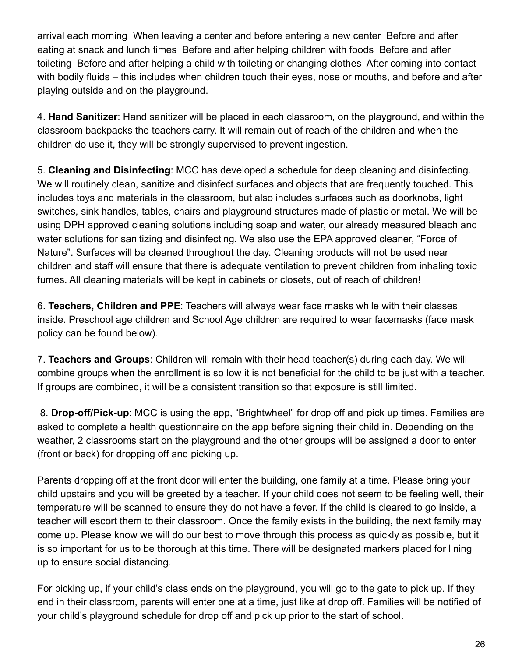arrival each morning When leaving a center and before entering a new center Before and after eating at snack and lunch times Before and after helping children with foods Before and after toileting Before and after helping a child with toileting or changing clothes After coming into contact with bodily fluids – this includes when children touch their eyes, nose or mouths, and before and after playing outside and on the playground.

4. **Hand Sanitizer**: Hand sanitizer will be placed in each classroom, on the playground, and within the classroom backpacks the teachers carry. It will remain out of reach of the children and when the children do use it, they will be strongly supervised to prevent ingestion.

5. **Cleaning and Disinfecting**: MCC has developed a schedule for deep cleaning and disinfecting. We will routinely clean, sanitize and disinfect surfaces and objects that are frequently touched. This includes toys and materials in the classroom, but also includes surfaces such as doorknobs, light switches, sink handles, tables, chairs and playground structures made of plastic or metal. We will be using DPH approved cleaning solutions including soap and water, our already measured bleach and water solutions for sanitizing and disinfecting. We also use the EPA approved cleaner, "Force of Nature". Surfaces will be cleaned throughout the day. Cleaning products will not be used near children and staff will ensure that there is adequate ventilation to prevent children from inhaling toxic fumes. All cleaning materials will be kept in cabinets or closets, out of reach of children!

6. **Teachers, Children and PPE**: Teachers will always wear face masks while with their classes inside. Preschool age children and School Age children are required to wear facemasks (face mask policy can be found below).

7. **Teachers and Groups**: Children will remain with their head teacher(s) during each day. We will combine groups when the enrollment is so low it is not beneficial for the child to be just with a teacher. If groups are combined, it will be a consistent transition so that exposure is still limited.

8. **Drop-off/Pick-up**: MCC is using the app, "Brightwheel" for drop off and pick up times. Families are asked to complete a health questionnaire on the app before signing their child in. Depending on the weather, 2 classrooms start on the playground and the other groups will be assigned a door to enter (front or back) for dropping off and picking up.

Parents dropping off at the front door will enter the building, one family at a time. Please bring your child upstairs and you will be greeted by a teacher. If your child does not seem to be feeling well, their temperature will be scanned to ensure they do not have a fever. If the child is cleared to go inside, a teacher will escort them to their classroom. Once the family exists in the building, the next family may come up. Please know we will do our best to move through this process as quickly as possible, but it is so important for us to be thorough at this time. There will be designated markers placed for lining up to ensure social distancing.

For picking up, if your child's class ends on the playground, you will go to the gate to pick up. If they end in their classroom, parents will enter one at a time, just like at drop off. Families will be notified of your child's playground schedule for drop off and pick up prior to the start of school.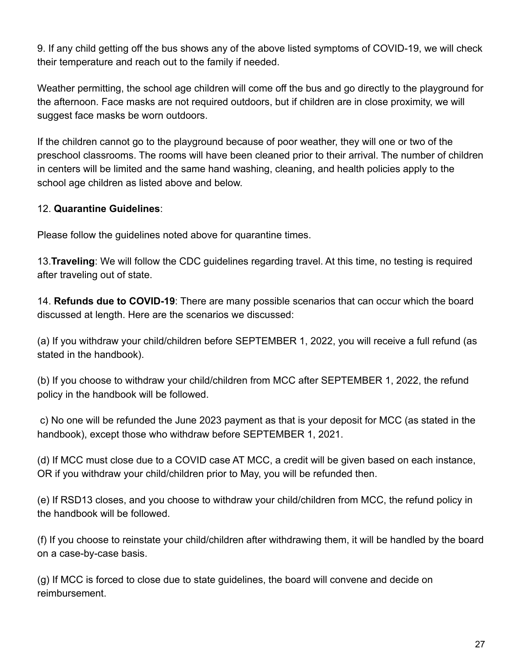9. If any child getting off the bus shows any of the above listed symptoms of COVID-19, we will check their temperature and reach out to the family if needed.

Weather permitting, the school age children will come off the bus and go directly to the playground for the afternoon. Face masks are not required outdoors, but if children are in close proximity, we will suggest face masks be worn outdoors.

If the children cannot go to the playground because of poor weather, they will one or two of the preschool classrooms. The rooms will have been cleaned prior to their arrival. The number of children in centers will be limited and the same hand washing, cleaning, and health policies apply to the school age children as listed above and below.

### 12. **Quarantine Guidelines**:

Please follow the guidelines noted above for quarantine times.

13.**Traveling**: We will follow the CDC guidelines regarding travel. At this time, no testing is required after traveling out of state.

14. **Refunds due to COVID-19**: There are many possible scenarios that can occur which the board discussed at length. Here are the scenarios we discussed:

(a) If you withdraw your child/children before SEPTEMBER 1, 2022, you will receive a full refund (as stated in the handbook).

(b) If you choose to withdraw your child/children from MCC after SEPTEMBER 1, 2022, the refund policy in the handbook will be followed.

c) No one will be refunded the June 2023 payment as that is your deposit for MCC (as stated in the handbook), except those who withdraw before SEPTEMBER 1, 2021.

(d) If MCC must close due to a COVID case AT MCC, a credit will be given based on each instance, OR if you withdraw your child/children prior to May, you will be refunded then.

(e) If RSD13 closes, and you choose to withdraw your child/children from MCC, the refund policy in the handbook will be followed.

(f) If you choose to reinstate your child/children after withdrawing them, it will be handled by the board on a case-by-case basis.

(g) If MCC is forced to close due to state guidelines, the board will convene and decide on reimbursement.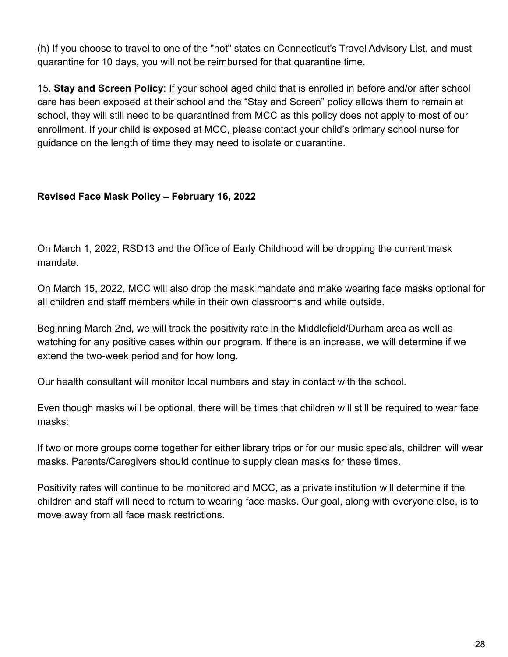(h) If you choose to travel to one of the "hot" states on Connecticut's Travel Advisory List, and must quarantine for 10 days, you will not be reimbursed for that quarantine time.

15. **Stay and Screen Policy**: If your school aged child that is enrolled in before and/or after school care has been exposed at their school and the "Stay and Screen" policy allows them to remain at school, they will still need to be quarantined from MCC as this policy does not apply to most of our enrollment. If your child is exposed at MCC, please contact your child's primary school nurse for guidance on the length of time they may need to isolate or quarantine.

### **Revised Face Mask Policy – February 16, 2022**

On March 1, 2022, RSD13 and the Office of Early Childhood will be dropping the current mask mandate.

On March 15, 2022, MCC will also drop the mask mandate and make wearing face masks optional for all children and staff members while in their own classrooms and while outside.

Beginning March 2nd, we will track the positivity rate in the Middlefield/Durham area as well as watching for any positive cases within our program. If there is an increase, we will determine if we extend the two-week period and for how long.

Our health consultant will monitor local numbers and stay in contact with the school.

Even though masks will be optional, there will be times that children will still be required to wear face masks:

If two or more groups come together for either library trips or for our music specials, children will wear masks. Parents/Caregivers should continue to supply clean masks for these times.

Positivity rates will continue to be monitored and MCC, as a private institution will determine if the children and staff will need to return to wearing face masks. Our goal, along with everyone else, is to move away from all face mask restrictions.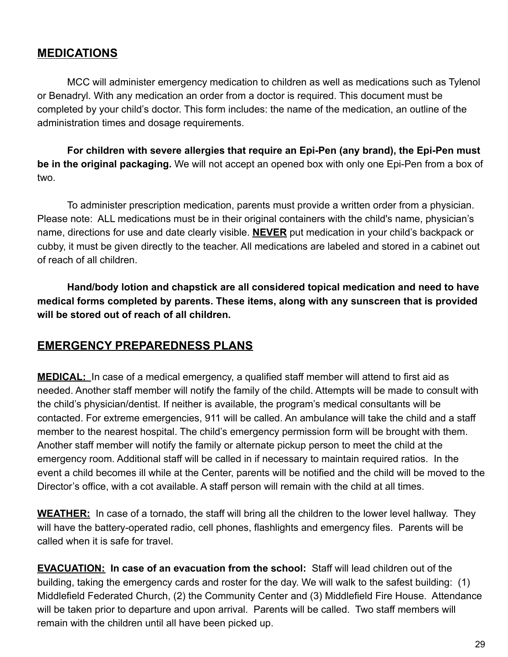### **MEDICATIONS**

MCC will administer emergency medication to children as well as medications such as Tylenol or Benadryl. With any medication an order from a doctor is required. This document must be completed by your child's doctor. This form includes: the name of the medication, an outline of the administration times and dosage requirements.

**For children with severe allergies that require an Epi-Pen (any brand), the Epi-Pen must be in the original packaging.** We will not accept an opened box with only one Epi-Pen from a box of two.

To administer prescription medication, parents must provide a written order from a physician. Please note: ALL medications must be in their original containers with the child's name, physician's name, directions for use and date clearly visible. **NEVER** put medication in your child's backpack or cubby, it must be given directly to the teacher. All medications are labeled and stored in a cabinet out of reach of all children.

**Hand/body lotion and chapstick are all considered topical medication and need to have medical forms completed by parents. These items, along with any sunscreen that is provided will be stored out of reach of all children.**

### **EMERGENCY PREPAREDNESS PLANS**

**MEDICAL:** In case of a medical emergency, a qualified staff member will attend to first aid as needed. Another staff member will notify the family of the child. Attempts will be made to consult with the child's physician/dentist. If neither is available, the program's medical consultants will be contacted. For extreme emergencies, 911 will be called. An ambulance will take the child and a staff member to the nearest hospital. The child's emergency permission form will be brought with them. Another staff member will notify the family or alternate pickup person to meet the child at the emergency room. Additional staff will be called in if necessary to maintain required ratios. In the event a child becomes ill while at the Center, parents will be notified and the child will be moved to the Director's office, with a cot available. A staff person will remain with the child at all times.

**WEATHER:** In case of a tornado, the staff will bring all the children to the lower level hallway. They will have the battery-operated radio, cell phones, flashlights and emergency files. Parents will be called when it is safe for travel.

**EVACUATION: In case of an evacuation from the school:** Staff will lead children out of the building, taking the emergency cards and roster for the day. We will walk to the safest building: (1) Middlefield Federated Church, (2) the Community Center and (3) Middlefield Fire House. Attendance will be taken prior to departure and upon arrival. Parents will be called. Two staff members will remain with the children until all have been picked up.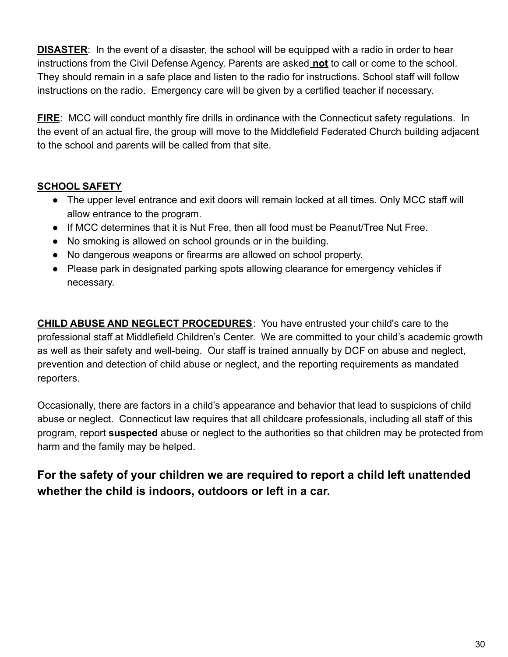**DISASTER:** In the event of a disaster, the school will be equipped with a radio in order to hear instructions from the Civil Defense Agency. Parents are asked **not** to call or come to the school. They should remain in a safe place and listen to the radio for instructions. School staff will follow instructions on the radio. Emergency care will be given by a certified teacher if necessary.

**FIRE:** MCC will conduct monthly fire drills in ordinance with the Connecticut safety regulations. In the event of an actual fire, the group will move to the Middlefield Federated Church building adjacent to the school and parents will be called from that site.

### **SCHOOL SAFETY**

- The upper level entrance and exit doors will remain locked at all times. Only MCC staff will allow entrance to the program.
- If MCC determines that it is Nut Free, then all food must be Peanut/Tree Nut Free.
- No smoking is allowed on school grounds or in the building.
- No dangerous weapons or firearms are allowed on school property.
- Please park in designated parking spots allowing clearance for emergency vehicles if necessary.

**CHILD ABUSE AND NEGLECT PROCEDURES**: You have entrusted your child's care to the professional staff at Middlefield Children's Center. We are committed to your child's academic growth as well as their safety and well-being. Our staff is trained annually by DCF on abuse and neglect, prevention and detection of child abuse or neglect, and the reporting requirements as mandated reporters.

Occasionally, there are factors in a child's appearance and behavior that lead to suspicions of child abuse or neglect. Connecticut law requires that all childcare professionals, including all staff of this program, report **suspected** abuse or neglect to the authorities so that children may be protected from harm and the family may be helped.

**For the safety of your children we are required to report a child left unattended whether the child is indoors, outdoors or left in a car.**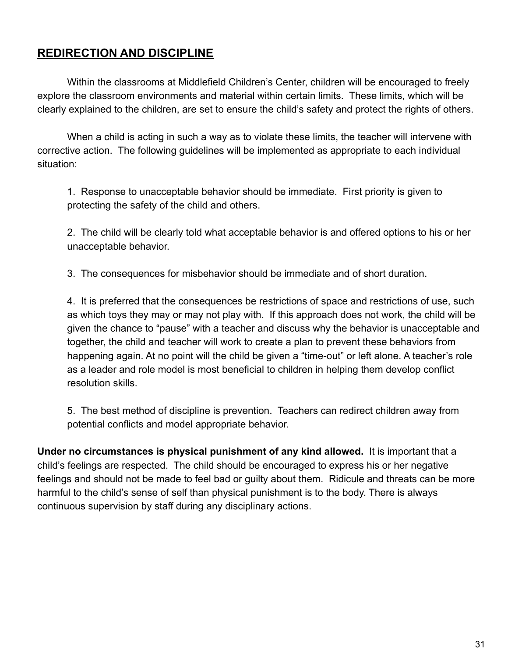### **REDIRECTION AND DISCIPLINE**

Within the classrooms at Middlefield Children's Center, children will be encouraged to freely explore the classroom environments and material within certain limits. These limits, which will be clearly explained to the children, are set to ensure the child's safety and protect the rights of others.

When a child is acting in such a way as to violate these limits, the teacher will intervene with corrective action. The following guidelines will be implemented as appropriate to each individual situation:

1. Response to unacceptable behavior should be immediate. First priority is given to protecting the safety of the child and others.

2. The child will be clearly told what acceptable behavior is and offered options to his or her unacceptable behavior.

3. The consequences for misbehavior should be immediate and of short duration.

4. It is preferred that the consequences be restrictions of space and restrictions of use, such as which toys they may or may not play with. If this approach does not work, the child will be given the chance to "pause" with a teacher and discuss why the behavior is unacceptable and together, the child and teacher will work to create a plan to prevent these behaviors from happening again. At no point will the child be given a "time-out" or left alone. A teacher's role as a leader and role model is most beneficial to children in helping them develop conflict resolution skills.

5. The best method of discipline is prevention. Teachers can redirect children away from potential conflicts and model appropriate behavior.

**Under no circumstances is physical punishment of any kind allowed.** It is important that a child's feelings are respected. The child should be encouraged to express his or her negative feelings and should not be made to feel bad or guilty about them. Ridicule and threats can be more harmful to the child's sense of self than physical punishment is to the body. There is always continuous supervision by staff during any disciplinary actions.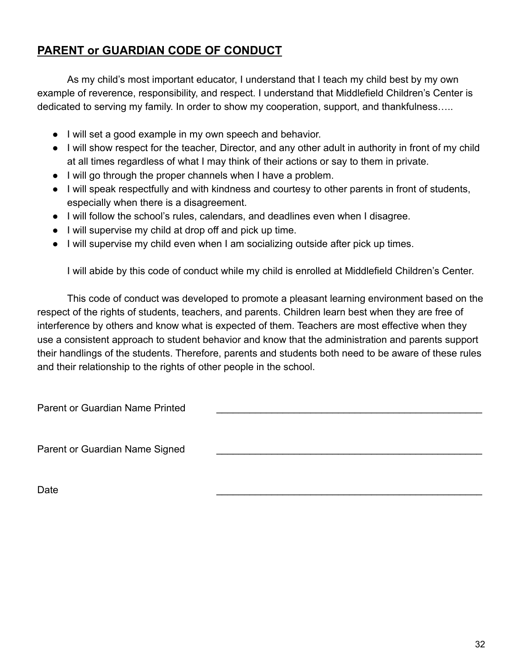# **PARENT or GUARDIAN CODE OF CONDUCT**

As my child's most important educator, I understand that I teach my child best by my own example of reverence, responsibility, and respect. I understand that Middlefield Children's Center is dedicated to serving my family. In order to show my cooperation, support, and thankfulness…..

- I will set a good example in my own speech and behavior.
- I will show respect for the teacher, Director, and any other adult in authority in front of my child at all times regardless of what I may think of their actions or say to them in private.
- I will go through the proper channels when I have a problem.
- I will speak respectfully and with kindness and courtesy to other parents in front of students, especially when there is a disagreement.
- I will follow the school's rules, calendars, and deadlines even when I disagree.
- I will supervise my child at drop off and pick up time.
- I will supervise my child even when I am socializing outside after pick up times.

I will abide by this code of conduct while my child is enrolled at Middlefield Children's Center.

This code of conduct was developed to promote a pleasant learning environment based on the respect of the rights of students, teachers, and parents. Children learn best when they are free of interference by others and know what is expected of them. Teachers are most effective when they use a consistent approach to student behavior and know that the administration and parents support their handlings of the students. Therefore, parents and students both need to be aware of these rules and their relationship to the rights of other people in the school.

Parent or Guardian Name Printed

Parent or Guardian Name Signed

Date  $\Box$